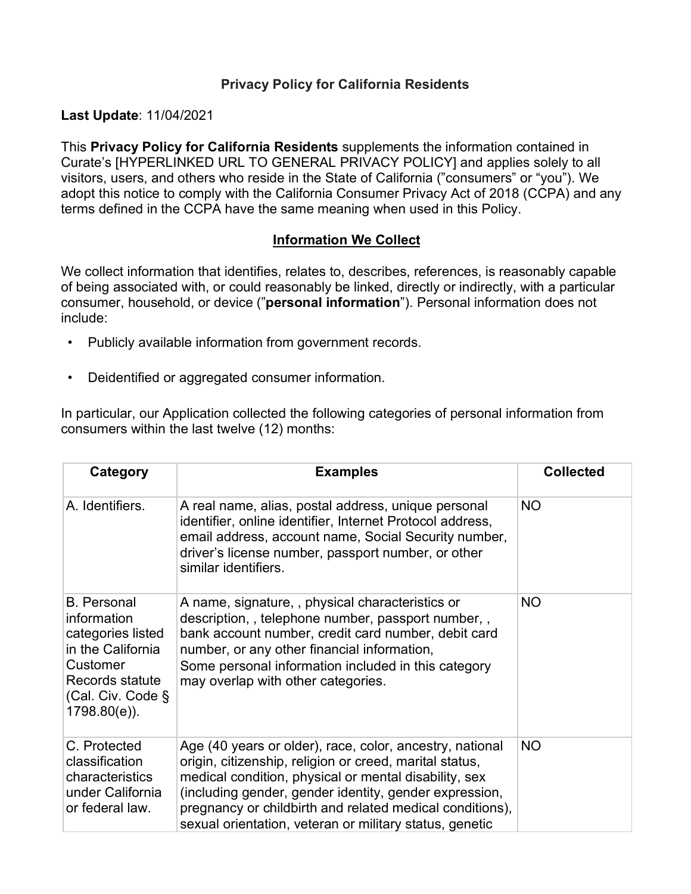### **Privacy Policy for California Residents**

**Last Update**: 11/04/2021

This **Privacy Policy for California Residents** supplements the information contained in Curate's [HYPERLINKED URL TO GENERAL PRIVACY POLICY] and applies solely to all visitors, users, and others who reside in the State of California ("consumers" or "you"). We adopt this notice to comply with the California Consumer Privacy Act of 2018 (CCPA) and any terms defined in the CCPA have the same meaning when used in this Policy.

#### **Information We Collect**

We collect information that identifies, relates to, describes, references, is reasonably capable of being associated with, or could reasonably be linked, directly or indirectly, with a particular consumer, household, or device ("**personal information**"). Personal information does not include:

- Publicly available information from government records.
- Deidentified or aggregated consumer information.

In particular, our Application collected the following categories of personal information from consumers within the last twelve (12) months:

| Category                                                                                                                                              | <b>Examples</b>                                                                                                                                                                                                                                                                                                                                               | <b>Collected</b> |
|-------------------------------------------------------------------------------------------------------------------------------------------------------|---------------------------------------------------------------------------------------------------------------------------------------------------------------------------------------------------------------------------------------------------------------------------------------------------------------------------------------------------------------|------------------|
| A. Identifiers.                                                                                                                                       | A real name, alias, postal address, unique personal<br>identifier, online identifier, Internet Protocol address,<br>email address, account name, Social Security number,<br>driver's license number, passport number, or other<br>similar identifiers.                                                                                                        | <b>NO</b>        |
| <b>B.</b> Personal<br>information<br>categories listed<br>in the California<br>Customer<br>Records statute<br>(Cal. Civ. Code $\S$<br>$1798.80(e)$ ). | A name, signature, , physical characteristics or<br>description,, telephone number, passport number,,<br>bank account number, credit card number, debit card<br>number, or any other financial information,<br>Some personal information included in this category<br>may overlap with other categories.                                                      | <b>NO</b>        |
| C. Protected<br>classification<br>characteristics<br>under California<br>or federal law.                                                              | Age (40 years or older), race, color, ancestry, national<br>origin, citizenship, religion or creed, marital status,<br>medical condition, physical or mental disability, sex<br>(including gender, gender identity, gender expression,<br>pregnancy or childbirth and related medical conditions),<br>sexual orientation, veteran or military status, genetic | <b>NO</b>        |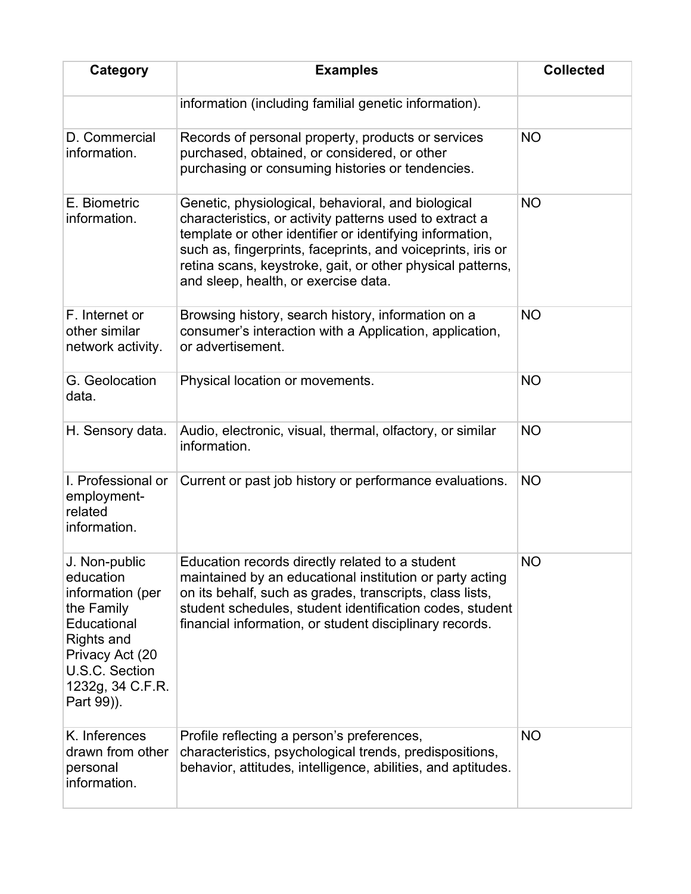| Category                                                                                                                                                         | <b>Examples</b>                                                                                                                                                                                                                                                                                                                                | <b>Collected</b> |
|------------------------------------------------------------------------------------------------------------------------------------------------------------------|------------------------------------------------------------------------------------------------------------------------------------------------------------------------------------------------------------------------------------------------------------------------------------------------------------------------------------------------|------------------|
|                                                                                                                                                                  | information (including familial genetic information).                                                                                                                                                                                                                                                                                          |                  |
| D. Commercial<br>information.                                                                                                                                    | Records of personal property, products or services<br>purchased, obtained, or considered, or other<br>purchasing or consuming histories or tendencies.                                                                                                                                                                                         | <b>NO</b>        |
| E. Biometric<br>information.                                                                                                                                     | Genetic, physiological, behavioral, and biological<br>characteristics, or activity patterns used to extract a<br>template or other identifier or identifying information,<br>such as, fingerprints, faceprints, and voiceprints, iris or<br>retina scans, keystroke, gait, or other physical patterns,<br>and sleep, health, or exercise data. | <b>NO</b>        |
| F. Internet or<br>other similar<br>network activity.                                                                                                             | Browsing history, search history, information on a<br>consumer's interaction with a Application, application,<br>or advertisement.                                                                                                                                                                                                             | <b>NO</b>        |
| G. Geolocation<br>data.                                                                                                                                          | Physical location or movements.                                                                                                                                                                                                                                                                                                                | <b>NO</b>        |
| H. Sensory data.                                                                                                                                                 | Audio, electronic, visual, thermal, olfactory, or similar<br>information.                                                                                                                                                                                                                                                                      | <b>NO</b>        |
| I. Professional or<br>employment-<br>related<br>information.                                                                                                     | Current or past job history or performance evaluations.                                                                                                                                                                                                                                                                                        | <b>NO</b>        |
| J. Non-public<br>education<br>information (per<br>the Family<br>Educational<br>Rights and<br>Privacy Act (20<br>U.S.C. Section<br>1232g, 34 C.F.R.<br>Part 99)). | Education records directly related to a student<br>maintained by an educational institution or party acting<br>on its behalf, such as grades, transcripts, class lists,<br>student schedules, student identification codes, student<br>financial information, or student disciplinary records.                                                 | <b>NO</b>        |
| K. Inferences<br>drawn from other<br>personal<br>information.                                                                                                    | Profile reflecting a person's preferences,<br>characteristics, psychological trends, predispositions,<br>behavior, attitudes, intelligence, abilities, and aptitudes.                                                                                                                                                                          | <b>NO</b>        |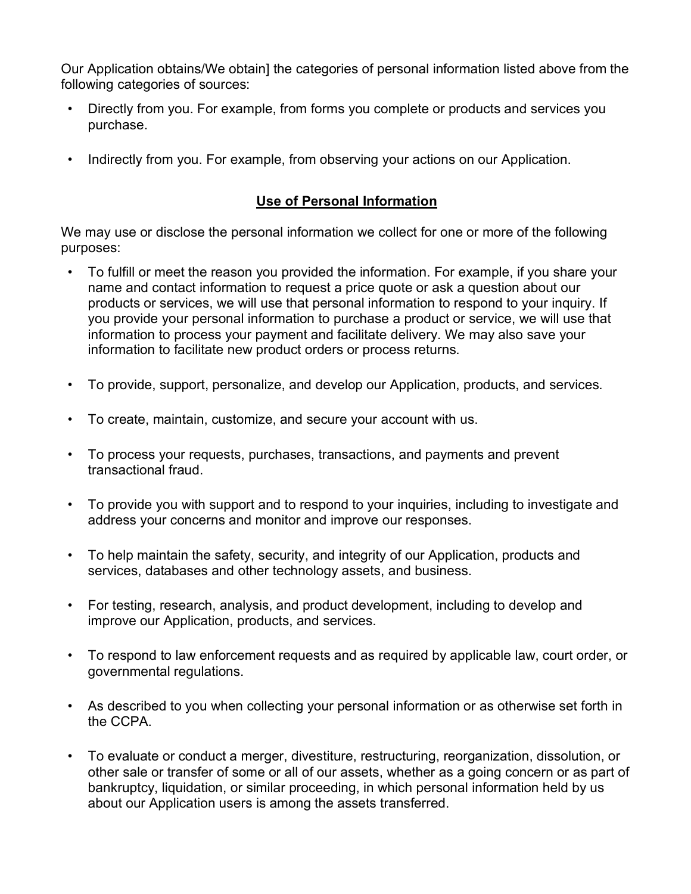Our Application obtains/We obtain] the categories of personal information listed above from the following categories of sources:

- Directly from you. For example, from forms you complete or products and services you purchase.
- Indirectly from you. For example, from observing your actions on our Application.

## **Use of Personal Information**

We may use or disclose the personal information we collect for one or more of the following purposes:

- To fulfill or meet the reason you provided the information. For example, if you share your name and contact information to request a price quote or ask a question about our products or services, we will use that personal information to respond to your inquiry. If you provide your personal information to purchase a product or service, we will use that information to process your payment and facilitate delivery. We may also save your information to facilitate new product orders or process returns.
- To provide, support, personalize, and develop our Application, products, and services.
- To create, maintain, customize, and secure your account with us.
- To process your requests, purchases, transactions, and payments and prevent transactional fraud.
- To provide you with support and to respond to your inquiries, including to investigate and address your concerns and monitor and improve our responses.
- To help maintain the safety, security, and integrity of our Application, products and services, databases and other technology assets, and business.
- For testing, research, analysis, and product development, including to develop and improve our Application, products, and services.
- To respond to law enforcement requests and as required by applicable law, court order, or governmental regulations.
- As described to you when collecting your personal information or as otherwise set forth in the CCPA.
- To evaluate or conduct a merger, divestiture, restructuring, reorganization, dissolution, or other sale or transfer of some or all of our assets, whether as a going concern or as part of bankruptcy, liquidation, or similar proceeding, in which personal information held by us about our Application users is among the assets transferred.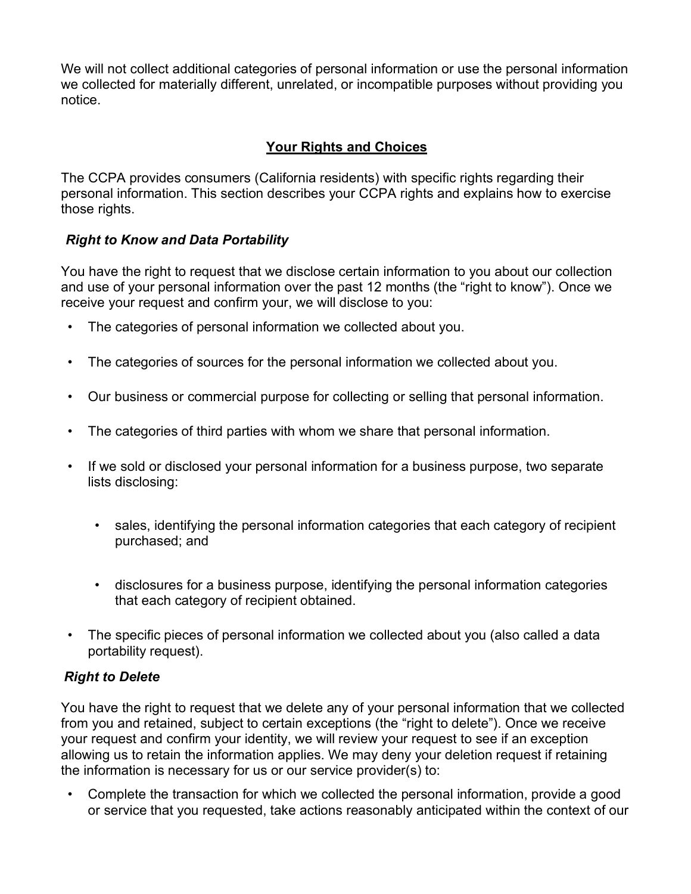We will not collect additional categories of personal information or use the personal information we collected for materially different, unrelated, or incompatible purposes without providing you notice.

# **Your Rights and Choices**

The CCPA provides consumers (California residents) with specific rights regarding their personal information. This section describes your CCPA rights and explains how to exercise those rights.

# *Right to Know and Data Portability*

You have the right to request that we disclose certain information to you about our collection and use of your personal information over the past 12 months (the "right to know"). Once we receive your request and confirm your, we will disclose to you:

- The categories of personal information we collected about you.
- The categories of sources for the personal information we collected about you.
- Our business or commercial purpose for collecting or selling that personal information.
- The categories of third parties with whom we share that personal information.
- If we sold or disclosed your personal information for a business purpose, two separate lists disclosing:
	- sales, identifying the personal information categories that each category of recipient purchased; and
	- disclosures for a business purpose, identifying the personal information categories that each category of recipient obtained.
- The specific pieces of personal information we collected about you (also called a data portability request).

# *Right to Delete*

You have the right to request that we delete any of your personal information that we collected from you and retained, subject to certain exceptions (the "right to delete"). Once we receive your request and confirm your identity, we will review your request to see if an exception allowing us to retain the information applies. We may deny your deletion request if retaining the information is necessary for us or our service provider(s) to:

• Complete the transaction for which we collected the personal information, provide a good or service that you requested, take actions reasonably anticipated within the context of our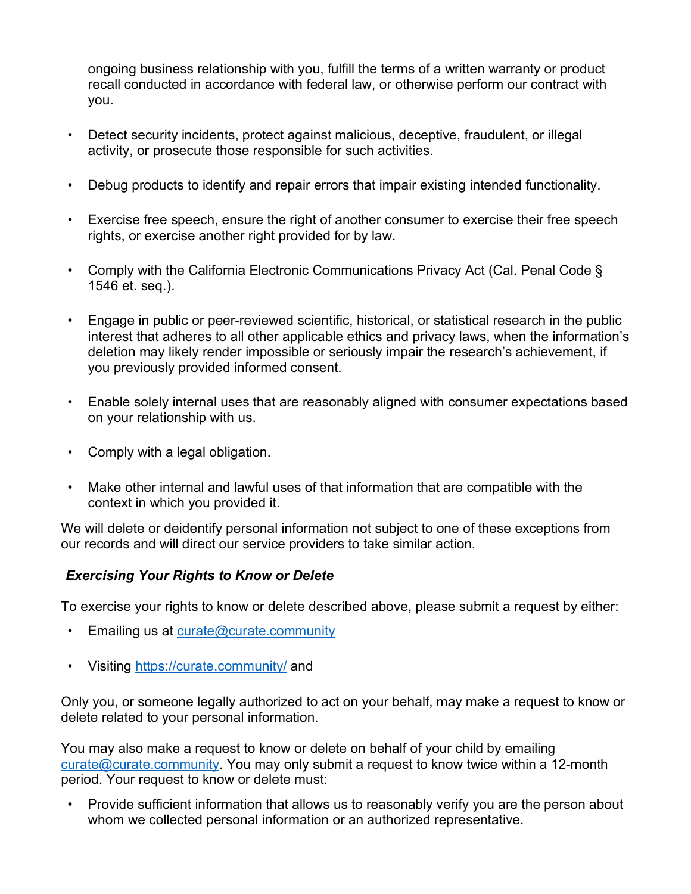ongoing business relationship with you, fulfill the terms of a written warranty or product recall conducted in accordance with federal law, or otherwise perform our contract with you.

- Detect security incidents, protect against malicious, deceptive, fraudulent, or illegal activity, or prosecute those responsible for such activities.
- Debug products to identify and repair errors that impair existing intended functionality.
- Exercise free speech, ensure the right of another consumer to exercise their free speech rights, or exercise another right provided for by law.
- Comply with the California Electronic Communications Privacy Act (Cal. Penal Code § 1546 et. seq.).
- Engage in public or peer-reviewed scientific, historical, or statistical research in the public interest that adheres to all other applicable ethics and privacy laws, when the information's deletion may likely render impossible or seriously impair the research's achievement, if you previously provided informed consent.
- Enable solely internal uses that are reasonably aligned with consumer expectations based on your relationship with us.
- Comply with a legal obligation.
- Make other internal and lawful uses of that information that are compatible with the context in which you provided it.

We will delete or deidentify personal information not subject to one of these exceptions from our records and will direct our service providers to take similar action.

### *Exercising Your Rights to Know or Delete*

To exercise your rights to know or delete described above, please submit a request by either:

- Emailing us at [curate@curate.community](mailto:curate@curate.community)
- Visiting<https://curate.community/> and

Only you, or someone legally authorized to act on your behalf, may make a request to know or delete related to your personal information.

You may also make a request to know or delete on behalf of your child by emailing [curate@curate.community.](mailto:curate@curate.community) You may only submit a request to know twice within a 12-month period. Your request to know or delete must:

• Provide sufficient information that allows us to reasonably verify you are the person about whom we collected personal information or an authorized representative.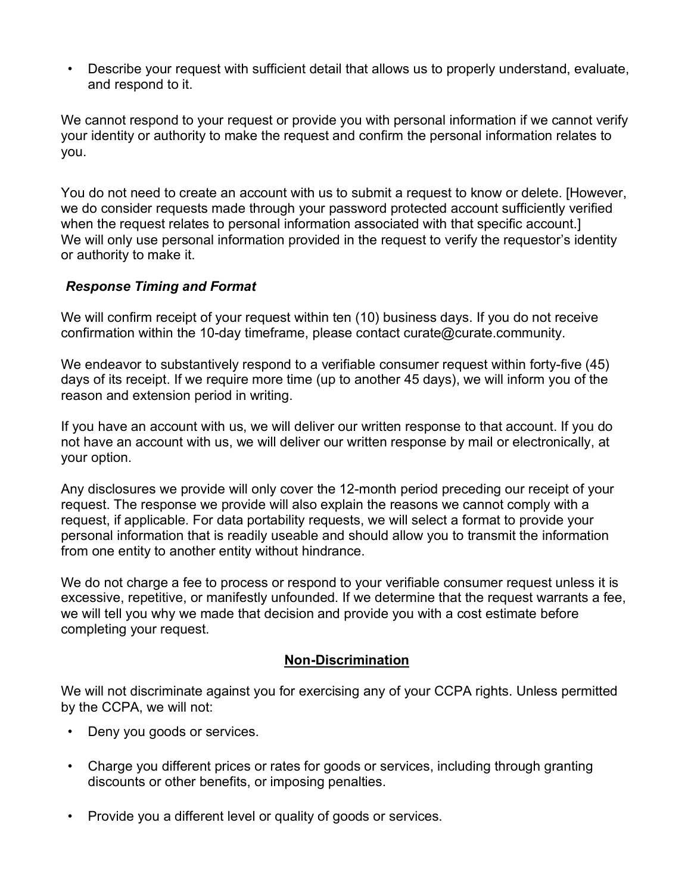• Describe your request with sufficient detail that allows us to properly understand, evaluate, and respond to it.

We cannot respond to your request or provide you with personal information if we cannot verify your identity or authority to make the request and confirm the personal information relates to you.

You do not need to create an account with us to submit a request to know or delete. [However, we do consider requests made through your password protected account sufficiently verified when the request relates to personal information associated with that specific account.] We will only use personal information provided in the request to verify the requestor's identity or authority to make it.

#### *Response Timing and Format*

We will confirm receipt of your request within ten (10) business days. If you do not receive confirmation within the 10-day timeframe, please contact curate@curate.community.

We endeavor to substantively respond to a verifiable consumer request within forty-five (45) days of its receipt. If we require more time (up to another 45 days), we will inform you of the reason and extension period in writing.

If you have an account with us, we will deliver our written response to that account. If you do not have an account with us, we will deliver our written response by mail or electronically, at your option.

Any disclosures we provide will only cover the 12-month period preceding our receipt of your request. The response we provide will also explain the reasons we cannot comply with a request, if applicable. For data portability requests, we will select a format to provide your personal information that is readily useable and should allow you to transmit the information from one entity to another entity without hindrance.

We do not charge a fee to process or respond to your verifiable consumer request unless it is excessive, repetitive, or manifestly unfounded. If we determine that the request warrants a fee, we will tell you why we made that decision and provide you with a cost estimate before completing your request.

#### **Non-Discrimination**

We will not discriminate against you for exercising any of your CCPA rights. Unless permitted by the CCPA, we will not:

- Deny you goods or services.
- Charge you different prices or rates for goods or services, including through granting discounts or other benefits, or imposing penalties.
- Provide you a different level or quality of goods or services.